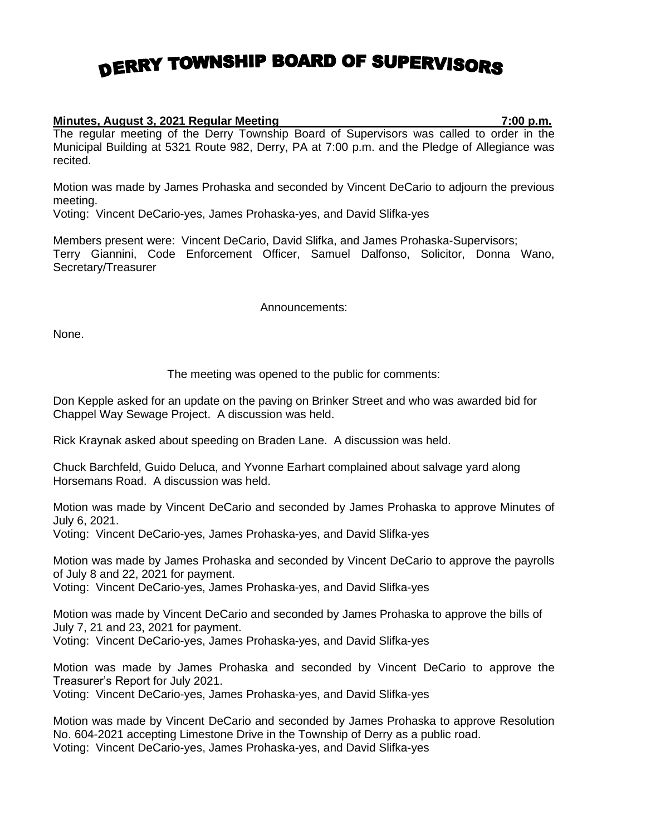## DERRY TOWNSHIP BOARD OF SUPERVISORS

## **Minutes, August 3, 2021 Regular Meeting 7:00 p.m.**

The regular meeting of the Derry Township Board of Supervisors was called to order in the Municipal Building at 5321 Route 982, Derry, PA at 7:00 p.m. and the Pledge of Allegiance was recited.

Motion was made by James Prohaska and seconded by Vincent DeCario to adjourn the previous meeting.

Voting: Vincent DeCario-yes, James Prohaska-yes, and David Slifka-yes

Members present were: Vincent DeCario, David Slifka, and James Prohaska-Supervisors; Terry Giannini, Code Enforcement Officer, Samuel Dalfonso, Solicitor, Donna Wano, Secretary/Treasurer

## Announcements:

None.

## The meeting was opened to the public for comments:

Don Kepple asked for an update on the paving on Brinker Street and who was awarded bid for Chappel Way Sewage Project. A discussion was held.

Rick Kraynak asked about speeding on Braden Lane. A discussion was held.

Chuck Barchfeld, Guido Deluca, and Yvonne Earhart complained about salvage yard along Horsemans Road. A discussion was held.

Motion was made by Vincent DeCario and seconded by James Prohaska to approve Minutes of July 6, 2021.

Voting: Vincent DeCario-yes, James Prohaska-yes, and David Slifka-yes

Motion was made by James Prohaska and seconded by Vincent DeCario to approve the payrolls of July 8 and 22, 2021 for payment.

Voting: Vincent DeCario-yes, James Prohaska-yes, and David Slifka-yes

Motion was made by Vincent DeCario and seconded by James Prohaska to approve the bills of July 7, 21 and 23, 2021 for payment.

Voting: Vincent DeCario-yes, James Prohaska-yes, and David Slifka-yes

Motion was made by James Prohaska and seconded by Vincent DeCario to approve the Treasurer's Report for July 2021.

Voting: Vincent DeCario-yes, James Prohaska-yes, and David Slifka-yes

Motion was made by Vincent DeCario and seconded by James Prohaska to approve Resolution No. 604-2021 accepting Limestone Drive in the Township of Derry as a public road. Voting: Vincent DeCario-yes, James Prohaska-yes, and David Slifka-yes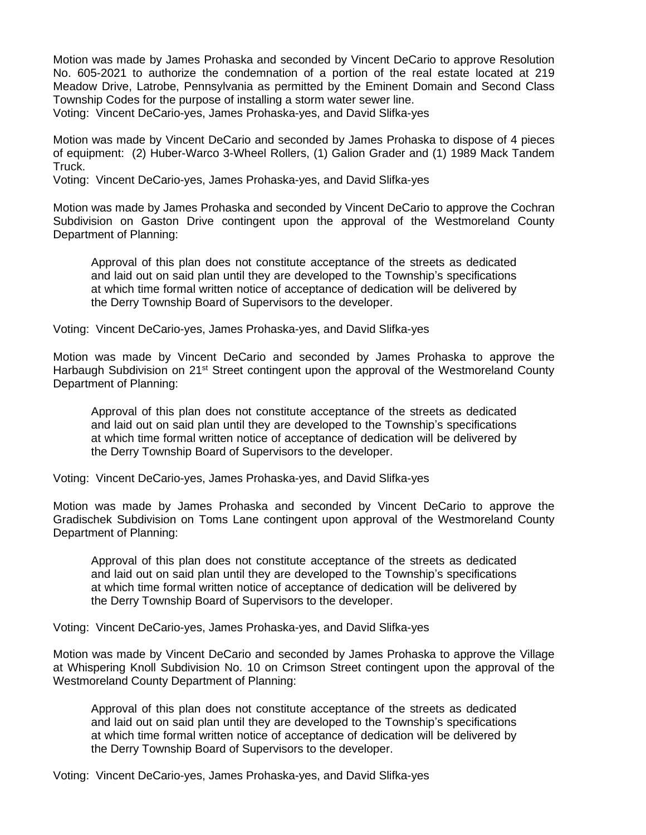Motion was made by James Prohaska and seconded by Vincent DeCario to approve Resolution No. 605-2021 to authorize the condemnation of a portion of the real estate located at 219 Meadow Drive, Latrobe, Pennsylvania as permitted by the Eminent Domain and Second Class Township Codes for the purpose of installing a storm water sewer line. Voting: Vincent DeCario-yes, James Prohaska-yes, and David Slifka-yes

Motion was made by Vincent DeCario and seconded by James Prohaska to dispose of 4 pieces of equipment: (2) Huber-Warco 3-Wheel Rollers, (1) Galion Grader and (1) 1989 Mack Tandem Truck.

Voting: Vincent DeCario-yes, James Prohaska-yes, and David Slifka-yes

Motion was made by James Prohaska and seconded by Vincent DeCario to approve the Cochran Subdivision on Gaston Drive contingent upon the approval of the Westmoreland County Department of Planning:

Approval of this plan does not constitute acceptance of the streets as dedicated and laid out on said plan until they are developed to the Township's specifications at which time formal written notice of acceptance of dedication will be delivered by the Derry Township Board of Supervisors to the developer.

Voting: Vincent DeCario-yes, James Prohaska-yes, and David Slifka-yes

Motion was made by Vincent DeCario and seconded by James Prohaska to approve the Harbaugh Subdivision on 21<sup>st</sup> Street contingent upon the approval of the Westmoreland County Department of Planning:

Approval of this plan does not constitute acceptance of the streets as dedicated and laid out on said plan until they are developed to the Township's specifications at which time formal written notice of acceptance of dedication will be delivered by the Derry Township Board of Supervisors to the developer.

Voting: Vincent DeCario-yes, James Prohaska-yes, and David Slifka-yes

Motion was made by James Prohaska and seconded by Vincent DeCario to approve the Gradischek Subdivision on Toms Lane contingent upon approval of the Westmoreland County Department of Planning:

Approval of this plan does not constitute acceptance of the streets as dedicated and laid out on said plan until they are developed to the Township's specifications at which time formal written notice of acceptance of dedication will be delivered by the Derry Township Board of Supervisors to the developer.

Voting: Vincent DeCario-yes, James Prohaska-yes, and David Slifka-yes

Motion was made by Vincent DeCario and seconded by James Prohaska to approve the Village at Whispering Knoll Subdivision No. 10 on Crimson Street contingent upon the approval of the Westmoreland County Department of Planning:

Approval of this plan does not constitute acceptance of the streets as dedicated and laid out on said plan until they are developed to the Township's specifications at which time formal written notice of acceptance of dedication will be delivered by the Derry Township Board of Supervisors to the developer.

Voting: Vincent DeCario-yes, James Prohaska-yes, and David Slifka-yes